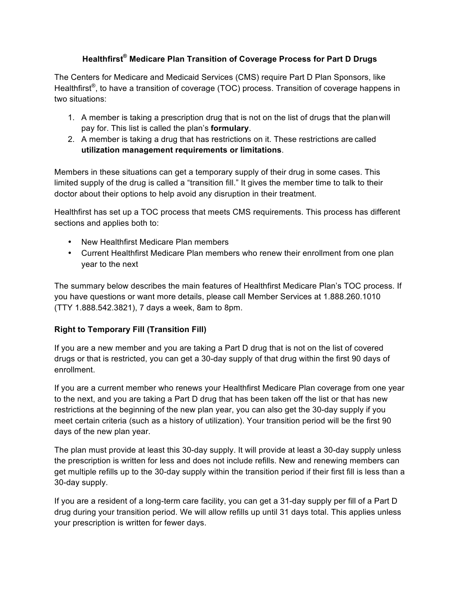### **Healthfirst® Medicare Plan Transition of Coverage Process for Part D Drugs**

 The Centers for Medicare and Medicaid Services (CMS) require Part D Plan Sponsors, like Healthfirst<sup>®</sup>, to have a transition of coverage (TOC) process. Transition of coverage happens in two situations:

- 1. A member is taking a prescription drug that is not on the list of drugs that the planwill pay for. This list is called the plan's **formulary**.
- 2. A member is taking a drug that has restrictions on it. These restrictions are called **utilization management requirements or limitations**.

 Members in these situations can get a temporary supply of their drug in some cases. This limited supply of the drug is called a "transition fill." It gives the member time to talk to their doctor about their options to help avoid any disruption in their treatment.

 Healthfirst has set up a TOC process that meets CMS requirements. This process has different sections and applies both to:

- New Healthfirst Medicare Plan members
- • Current Healthfirst Medicare Plan members who renew their enrollment from one plan year to the next

 The summary below describes the main features of Healthfirst Medicare Plan's TOC process. If you have questions or want more details, please call Member Services at 1.888.260.1010 (TTY 1.888.542.3821), 7 days a week, 8am to 8pm.

# **Right to Temporary Fill (Transition Fill)**

 drugs or that is restricted, you can get a 30-day supply of that drug within the first 90 days of If you are a new member and you are taking a Part D drug that is not on the list of covered enrollment.

 restrictions at the beginning of the new plan year, you can also get the 30-day supply if you meet certain criteria (such as a history of utilization). Your transition period will be the first 90 days of the new plan year. If you are a current member who renews your Healthfirst Medicare Plan coverage from one year to the next, and you are taking a Part D drug that has been taken off the list or that has new

 The plan must provide at least this 30-day supply. It will provide at least a 30-day supply unless get multiple refills up to the 30-day supply within the transition period if their first fill is less than a the prescription is written for less and does not include refills. New and renewing members can 30-day supply.

 If you are a resident of a long-term care facility, you can get a 31-day supply per fill of a Part D drug during your transition period. We will allow refills up until 31 days total. This applies unless your prescription is written for fewer days.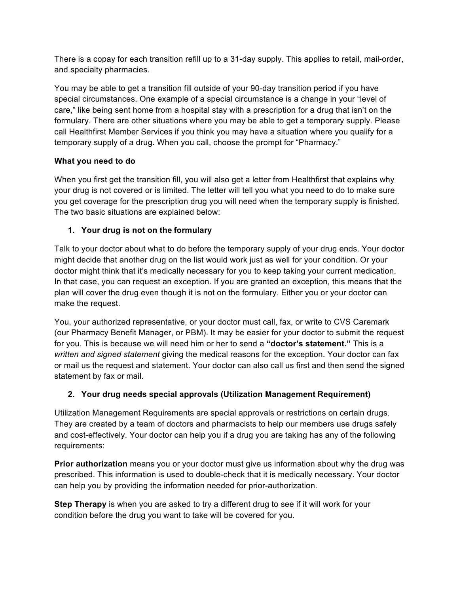There is a copay for each transition refill up to a 31-day supply. This applies to retail, mail-order, and specialty pharmacies.

 You may be able to get a transition fill outside of your 90-day transition period if you have special circumstances. One example of a special circumstance is a change in your "level of care," like being sent home from a hospital stay with a prescription for a drug that isn't on the call Healthfirst Member Services if you think you may have a situation where you qualify for a formulary. There are other situations where you may be able to get a temporary supply. Please temporary supply of a drug. When you call, choose the prompt for "Pharmacy."

# **What you need to do**

 When you first get the transition fill, you will also get a letter from Healthfirst that explains why your drug is not covered or is limited. The letter will tell you what you need to do to make sure you get coverage for the prescription drug you will need when the temporary supply is finished. The two basic situations are explained below:

# **1. Your drug is not on the formulary**

 Talk to your doctor about what to do before the temporary supply of your drug ends. Your doctor might decide that another drug on the list would work just as well for your condition. Or your doctor might think that it's medically necessary for you to keep taking your current medication. plan will cover the drug even though it is not on the formulary. Either you or your doctor can make the request. In that case, you can request an exception. If you are granted an exception, this means that the

 You, your authorized representative, or your doctor must call, fax, or write to CVS Caremark (our Pharmacy Benefit Manager, or PBM). It may be easier for your doctor to submit the request for you. This is because we will need him or her to send a **"doctor's statement."** This is a written and signed statement giving the medical reasons for the exception. Your doctor can fax or mail us the request and statement. Your doctor can also call us first and then send the signed statement by fax or mail.

#### **2. Your drug needs special approvals (Utilization Management Requirement)**

 Utilization Management Requirements are special approvals or restrictions on certain drugs. They are created by a team of doctors and pharmacists to help our members use drugs safely and cost-effectively. Your doctor can help you if a drug you are taking has any of the following requirements:

 **Prior authorization** means you or your doctor must give us information about why the drug was prescribed. This information is used to double-check that it is medically necessary. Your doctor can help you by providing the information needed for prior-authorization.

 **Step Therapy** is when you are asked to try a different drug to see if it will work for your condition before the drug you want to take will be covered for you.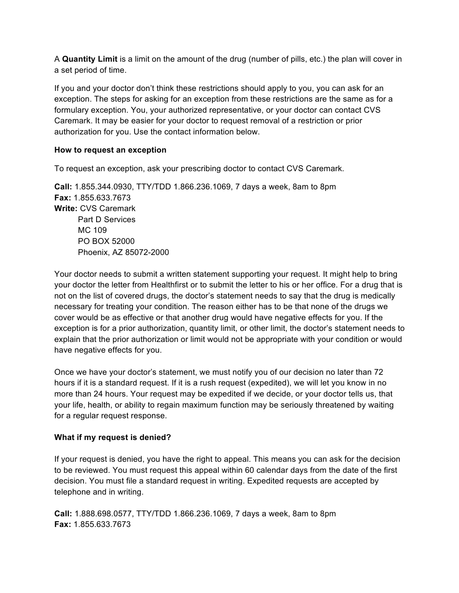A **Quantity Limit** is a limit on the amount of the drug (number of pills, etc.) the plan will cover in a set period of time.

 If you and your doctor don't think these restrictions should apply to you, you can ask for an exception. The steps for asking for an exception from these restrictions are the same as for a Caremark. It may be easier for your doctor to request removal of a restriction or prior authorization for you. Use the contact information below. formulary exception. You, your authorized representative, or your doctor can contact CVS

#### **How to request an exception**

To request an exception, ask your prescribing doctor to contact CVS Caremark.

 **Call:** 1.855.344.0930, TTY/TDD 1.866.236.1069, 7 days a week, 8am to 8pm **Write:** CVS Caremark Part D Services Phoenix, AZ 85072-2000 **Fax:** 1.855.633.7673 MC 109 PO BOX 52000

 Your doctor needs to submit a written statement supporting your request. It might help to bring your doctor the letter from Healthfirst or to submit the letter to his or her office. For a drug that is not on the list of covered drugs, the doctor's statement needs to say that the drug is medically necessary for treating your condition. The reason either has to be that none of the drugs we cover would be as effective or that another drug would have negative effects for you. If the exception is for a prior authorization, quantity limit, or other limit, the doctor's statement needs to explain that the prior authorization or limit would not be appropriate with your condition or would have negative effects for you.

 Once we have your doctor's statement, we must notify you of our decision no later than 72 hours if it is a standard request. If it is a rush request (expedited), we will let you know in no more than 24 hours. Your request may be expedited if we decide, or your doctor tells us, that your life, health, or ability to regain maximum function may be seriously threatened by waiting for a regular request response.

#### **What if my request is denied?**

 decision. You must file a standard request in writing. Expedited requests are accepted by If your request is denied, you have the right to appeal. This means you can ask for the decision to be reviewed. You must request this appeal within 60 calendar days from the date of the first telephone and in writing.

 **Call:** 1.888.698.0577, TTY/TDD 1.866.236.1069, 7 days a week, 8am to 8pm **Fax:** 1.855.633.7673